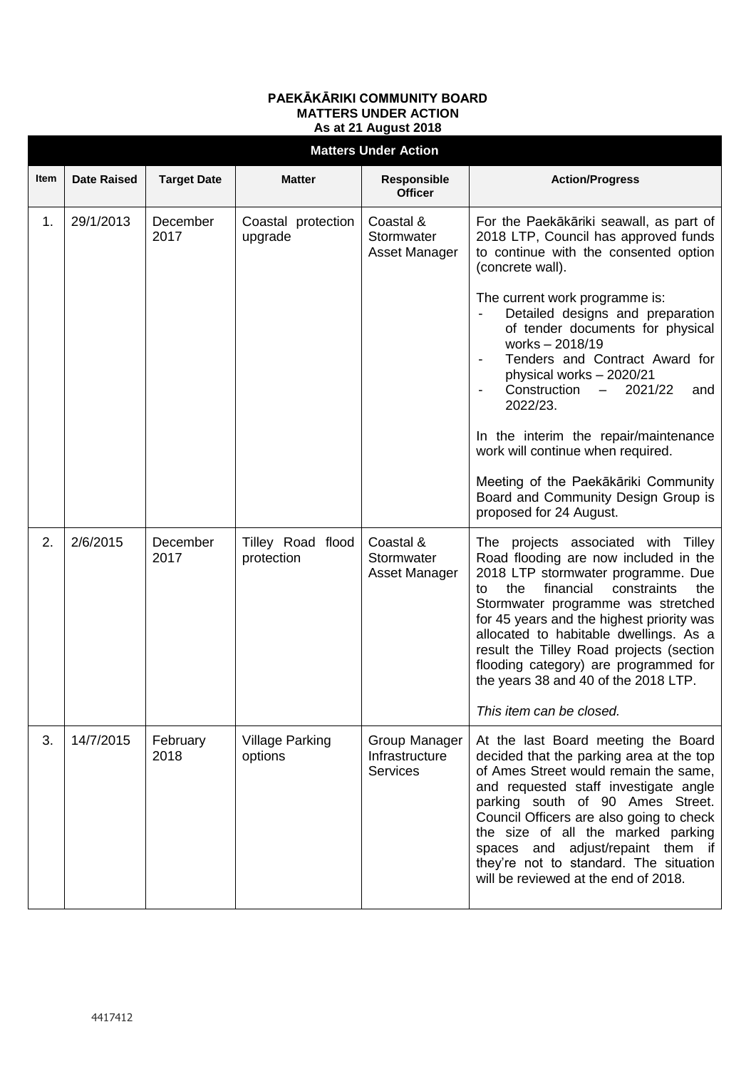## **PAEKĀKĀRIKI COMMUNITY BOARD MATTERS UNDER ACTION As at 21 August 2018**

| <b>Matters Under Action</b> |                    |                    |                                   |                                                    |                                                                                                                                                                                                                                                                                                                                                                                                                                                                                                                                                                                                    |  |  |  |  |
|-----------------------------|--------------------|--------------------|-----------------------------------|----------------------------------------------------|----------------------------------------------------------------------------------------------------------------------------------------------------------------------------------------------------------------------------------------------------------------------------------------------------------------------------------------------------------------------------------------------------------------------------------------------------------------------------------------------------------------------------------------------------------------------------------------------------|--|--|--|--|
| <b>Item</b>                 | <b>Date Raised</b> | <b>Target Date</b> | <b>Matter</b>                     | <b>Responsible</b><br><b>Officer</b>               | <b>Action/Progress</b>                                                                                                                                                                                                                                                                                                                                                                                                                                                                                                                                                                             |  |  |  |  |
| 1.                          | 29/1/2013          | December<br>2017   | Coastal protection<br>upgrade     | Coastal &<br>Stormwater<br>Asset Manager           | For the Paekākāriki seawall, as part of<br>2018 LTP, Council has approved funds<br>to continue with the consented option<br>(concrete wall).<br>The current work programme is:<br>Detailed designs and preparation<br>of tender documents for physical<br>works - 2018/19<br>Tenders and Contract Award for<br>physical works - 2020/21<br>Construction<br>$-2021/22$<br>and<br>$\blacksquare$<br>2022/23.<br>In the interim the repair/maintenance<br>work will continue when required.<br>Meeting of the Paekākāriki Community<br>Board and Community Design Group is<br>proposed for 24 August. |  |  |  |  |
| 2.                          | 2/6/2015           | December<br>2017   | Tilley Road flood<br>protection   | Coastal &<br>Stormwater<br>Asset Manager           | The projects associated with Tilley<br>Road flooding are now included in the<br>2018 LTP stormwater programme. Due<br>financial<br>constraints<br>the<br>the<br>to<br>Stormwater programme was stretched<br>for 45 years and the highest priority was<br>allocated to habitable dwellings. As a<br>result the Tilley Road projects (section<br>flooding category) are programmed for<br>the years 38 and 40 of the 2018 LTP.<br>This item can be closed.                                                                                                                                           |  |  |  |  |
| 3.                          | 14/7/2015          | February<br>2018   | <b>Village Parking</b><br>options | Group Manager<br>Infrastructure<br><b>Services</b> | At the last Board meeting the Board<br>decided that the parking area at the top<br>of Ames Street would remain the same,<br>and requested staff investigate angle<br>parking south of 90 Ames Street.<br>Council Officers are also going to check<br>the size of all the marked parking<br>spaces and adjust/repaint them if<br>they're not to standard. The situation<br>will be reviewed at the end of 2018.                                                                                                                                                                                     |  |  |  |  |